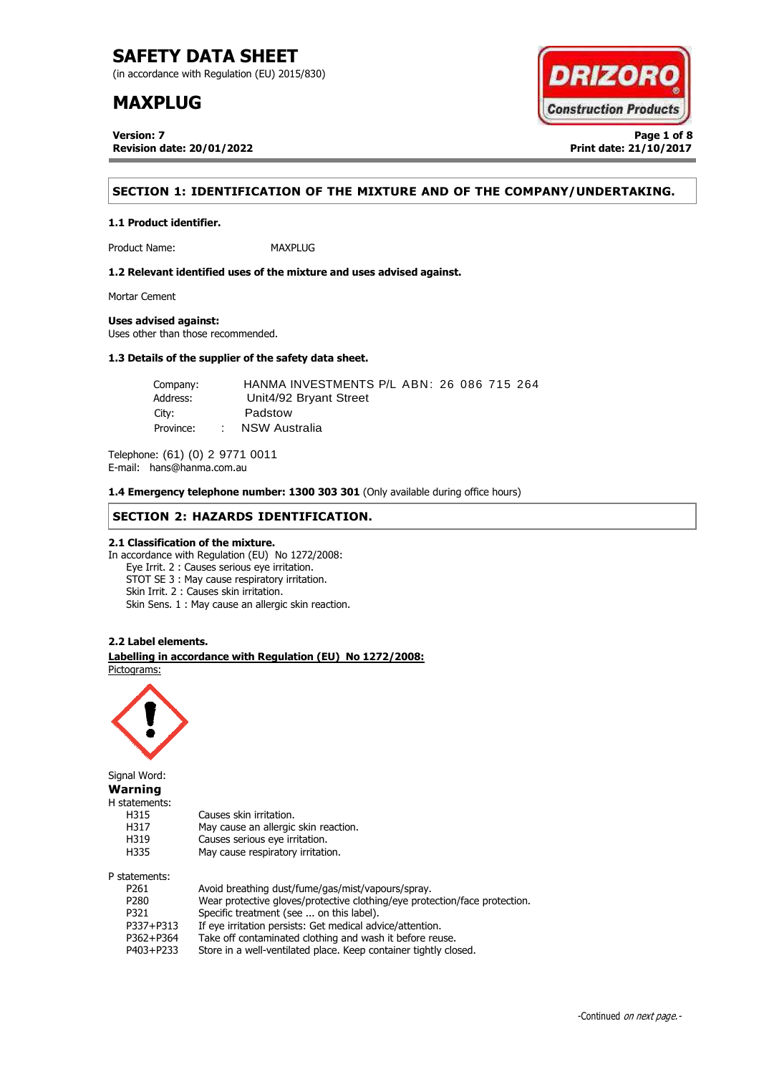(in accordance with Regulation (EU) 2015/830)

# **MAXPLUG**

**Version: 7 Page 1 of 8 Revision date: 20/01/2022 Print date: 21/10/2017**



# **SECTION 1: IDENTIFICATION OF THE MIXTURE AND OF THE COMPANY/UNDERTAKING.**

Product Name: MAXPLUG

**1.2 Relevant identified uses of the mixture and uses advised against.**

Mortar Cement

### **Uses advised against:**

**1.1 Product identifier.**

Uses other than those recommended.

### **1.3 Details of the supplier of the safety data sheet.**

| Company:  |        | HANMA INVESTMENTS P/L ABN: 26 086 715 264 |
|-----------|--------|-------------------------------------------|
| Address:  |        | Unit4/92 Bryant Street                    |
| City:     |        | Padstow                                   |
| Province: | $\sim$ | NSW Australia                             |

Telephone: (61) (0) 2 9771 0011 E-mail: hans@hanma.com.au

**1.4 Emergency telephone number: 1300 303 301** (Only available during office hours)

### **SECTION 2: HAZARDS IDENTIFICATION.**

### **2.1 Classification of the mixture.**

In accordance with Regulation (EU) No 1272/2008: Eye Irrit. 2 : Causes serious eye irritation. STOT SE 3 : May cause respiratory irritation. Skin Irrit. 2 : Causes skin irritation. Skin Sens. 1 : May cause an allergic skin reaction.

### **2.2 Label elements.**

. **Labelling in accordance with Regulation (EU) No 1272/2008:** Pictograms:



Signal Word: **Warning** H statements: H315 Causes skin irritation. H317 May cause an allergic skin reaction. H319 Causes serious eye irritation. H335 May cause respiratory irritation. P statements:

| latements: |                                                                            |
|------------|----------------------------------------------------------------------------|
| P261       | Avoid breathing dust/fume/gas/mist/vapours/spray.                          |
| P280       | Wear protective gloves/protective clothing/eye protection/face protection. |
| P321       | Specific treatment (see  on this label).                                   |
| P337+P313  | If eye irritation persists: Get medical advice/attention.                  |
| P362+P364  | Take off contaminated clothing and wash it before reuse.                   |
| P403+P233  | Store in a well-ventilated place. Keep container tightly closed.           |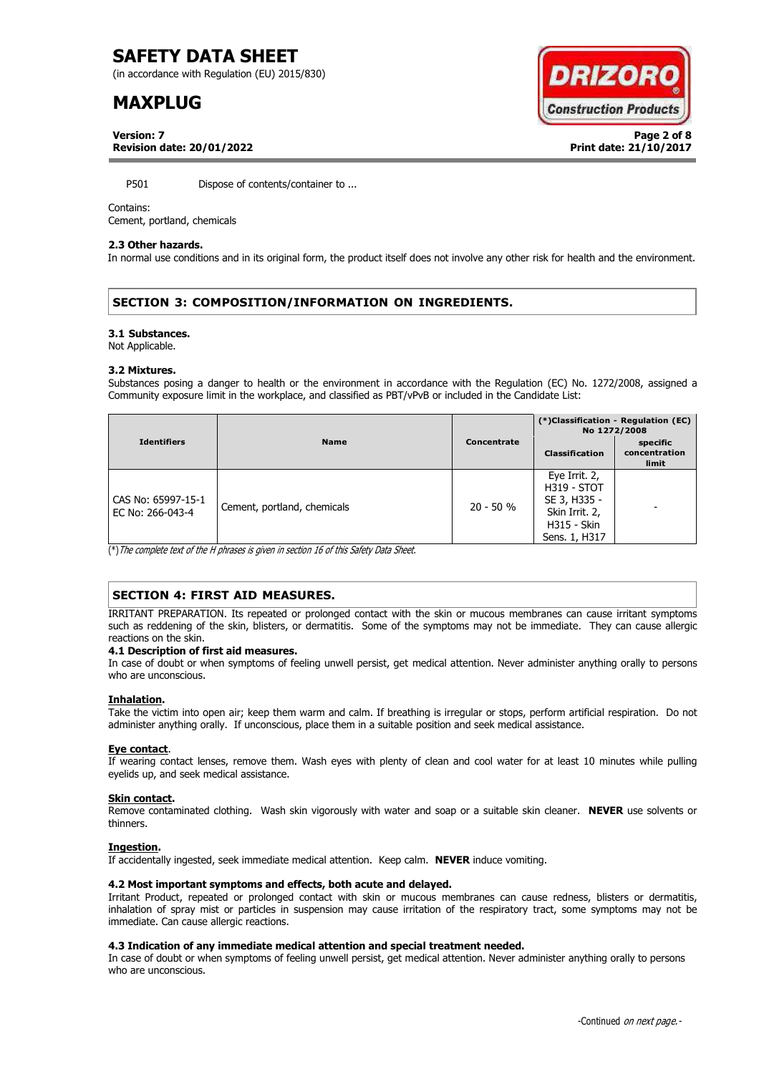(in accordance with Regulation (EU) 2015/830)

# **MAXPLUG**



**Version: 7 Page 2 of 8 Revision date: 20/01/2022 Print date: 21/10/2017**

P501 Dispose of contents/container to ...

### Contains:

Cement, portland, chemicals

### **2.3 Other hazards.**

In normal use conditions and in its original form, the product itself does not involve any other risk for health and the environment.

# **SECTION 3: COMPOSITION/INFORMATION ON INGREDIENTS.**

#### **3.1 Substances.**

Not Applicable.

#### **3.2 Mixtures.**

Substances posing a danger to health or the environment in accordance with the Regulation (EC) No. 1272/2008, assigned a Community exposure limit in the workplace, and classified as PBT/vPvB or included in the Candidate List:

|                                        |                             |             | (*)Classification - Regulation (EC)<br>No 1272/2008                                                          |                                    |
|----------------------------------------|-----------------------------|-------------|--------------------------------------------------------------------------------------------------------------|------------------------------------|
| <b>Identifiers</b>                     | <b>Name</b>                 | Concentrate | <b>Classification</b>                                                                                        | specific<br>concentration<br>limit |
| CAS No: 65997-15-1<br>EC No: 266-043-4 | Cement, portland, chemicals | $20 - 50 %$ | Eye Irrit. 2,<br><b>H319 - STOT</b><br>SE 3, H335 -<br>Skin Irrit. 2,<br><b>H315 - Skin</b><br>Sens. 1, H317 |                                    |

(\*)The complete text of the H phrases is given in section 16 of this Safety Data Sheet.

# **SECTION 4: FIRST AID MEASURES.**

IRRITANT PREPARATION. Its repeated or prolonged contact with the skin or mucous membranes can cause irritant symptoms such as reddening of the skin, blisters, or dermatitis. Some of the symptoms may not be immediate. They can cause allergic reactions on the skin.

### **4.1 Description of first aid measures.**

In case of doubt or when symptoms of feeling unwell persist, get medical attention. Never administer anything orally to persons who are unconscious.

### **Inhalation.**

Take the victim into open air; keep them warm and calm. If breathing is irregular or stops, perform artificial respiration. Do not administer anything orally. If unconscious, place them in a suitable position and seek medical assistance.

### **Eye contact**.

If wearing contact lenses, remove them. Wash eyes with plenty of clean and cool water for at least 10 minutes while pulling eyelids up, and seek medical assistance.

### **Skin contact.**

Remove contaminated clothing. Wash skin vigorously with water and soap or a suitable skin cleaner. **NEVER** use solvents or thinners.

### **Ingestion.**

If accidentally ingested, seek immediate medical attention. Keep calm. **NEVER** induce vomiting.

### **4.2 Most important symptoms and effects, both acute and delayed.**

Irritant Product, repeated or prolonged contact with skin or mucous membranes can cause redness, blisters or dermatitis, inhalation of spray mist or particles in suspension may cause irritation of the respiratory tract, some symptoms may not be immediate. Can cause allergic reactions.

### **4.3 Indication of any immediate medical attention and special treatment needed.**

In case of doubt or when symptoms of feeling unwell persist, get medical attention. Never administer anything orally to persons who are unconscious.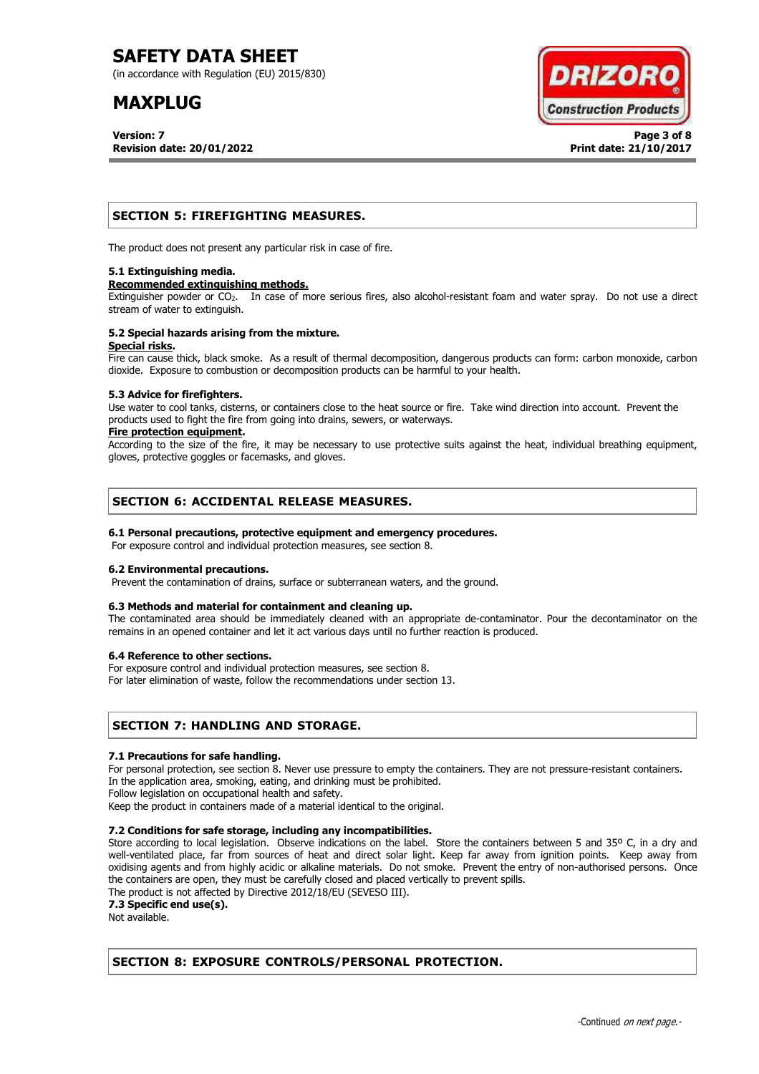(in accordance with Regulation (EU) 2015/830)

# **MAXPLUG**

**Version: 7 Page 3 of 8 Revision date: 20/01/2022 Print date: 21/10/2017**



### **SECTION 5: FIREFIGHTING MEASURES.**

The product does not present any particular risk in case of fire.

### **5.1 Extinguishing media.**

#### **Recommended extinguishing methods.**

Extinguisher powder or CO<sub>2</sub>. In case of more serious fires, also alcohol-resistant foam and water spray. Do not use a direct stream of water to extinguish.

#### **5.2 Special hazards arising from the mixture. Special risks.**

Fire can cause thick, black smoke. As a result of thermal decomposition, dangerous products can form: carbon monoxide, carbon dioxide. Exposure to combustion or decomposition products can be harmful to your health.

### **5.3 Advice for firefighters.**

Use water to cool tanks, cisterns, or containers close to the heat source or fire. Take wind direction into account. Prevent the products used to fight the fire from going into drains, sewers, or waterways.

### **Fire protection equipment.**

According to the size of the fire, it may be necessary to use protective suits against the heat, individual breathing equipment, gloves, protective goggles or facemasks, and gloves.

### **SECTION 6: ACCIDENTAL RELEASE MEASURES.**

### **6.1 Personal precautions, protective equipment and emergency procedures.**

For exposure control and individual protection measures, see section 8.

### **6.2 Environmental precautions.**

Prevent the contamination of drains, surface or subterranean waters, and the ground.

### **6.3 Methods and material for containment and cleaning up.**

The contaminated area should be immediately cleaned with an appropriate de-contaminator. Pour the decontaminator on the remains in an opened container and let it act various days until no further reaction is produced.

### **6.4 Reference to other sections.**

For exposure control and individual protection measures, see section 8.

For later elimination of waste, follow the recommendations under section 13.

### **SECTION 7: HANDLING AND STORAGE.**

### **7.1 Precautions for safe handling.**

For personal protection, see section 8. Never use pressure to empty the containers. They are not pressure-resistant containers. In the application area, smoking, eating, and drinking must be prohibited.

Follow legislation on occupational health and safety.

Keep the product in containers made of a material identical to the original.

### **7.2 Conditions for safe storage, including any incompatibilities.**

Store according to local legislation. Observe indications on the label. Store the containers between 5 and 35° C, in a dry and well-ventilated place, far from sources of heat and direct solar light. Keep far away from ignition points. Keep away from oxidising agents and from highly acidic or alkaline materials. Do not smoke. Prevent the entry of non-authorised persons. Once the containers are open, they must be carefully closed and placed vertically to prevent spills.

The product is not affected by Directive 2012/18/EU (SEVESO III).

**7.3 Specific end use(s).**

Not available.

# **SECTION 8: EXPOSURE CONTROLS/PERSONAL PROTECTION.**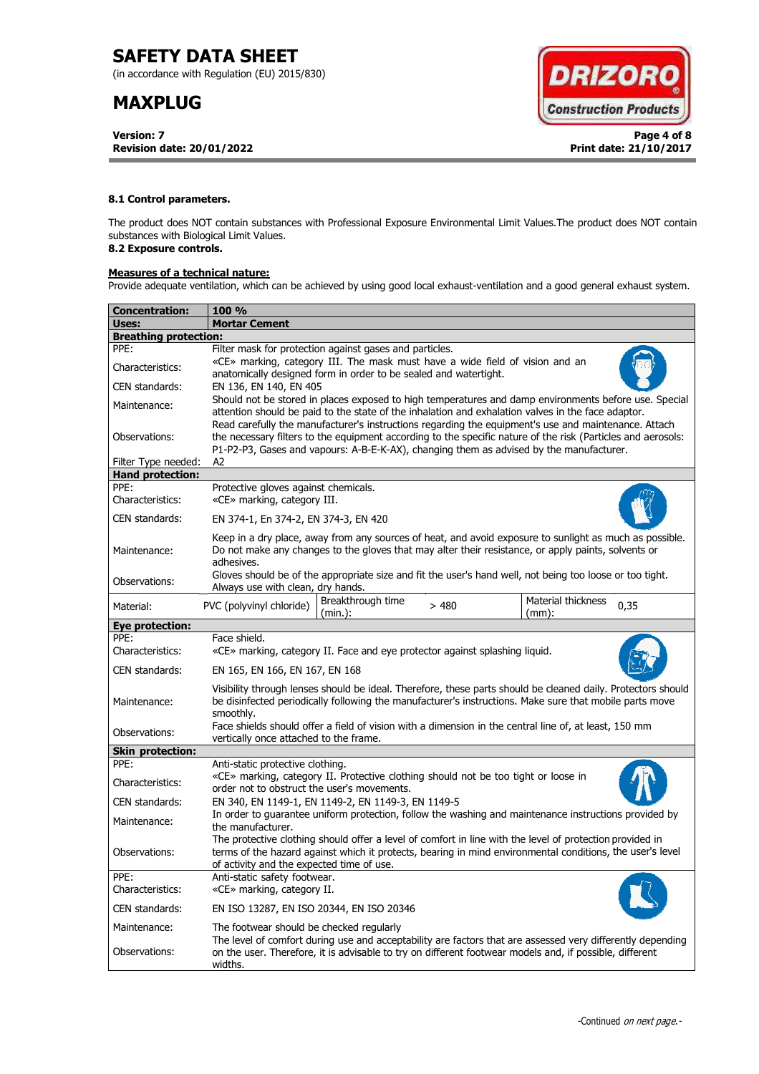(in accordance with Regulation (EU) 2015/830)

# **MAXPLUG**

**Version: 7 Page 4 of 8 Revision date: 20/01/2022 Print date: 21/10/2017**



### **8.1 Control parameters.**

The product does NOT contain substances with Professional Exposure Environmental Limit Values.The product does NOT contain substances with Biological Limit Values.

# **8.2 Exposure controls.**

### **Measures of a technical nature:**

Provide adequate ventilation, which can be achieved by using good local exhaust-ventilation and a good general exhaust system.

| Concentration:               | <b>100 %</b>                                                                                                                                                                                                                                                                                                        |  |  |  |  |  |
|------------------------------|---------------------------------------------------------------------------------------------------------------------------------------------------------------------------------------------------------------------------------------------------------------------------------------------------------------------|--|--|--|--|--|
| Uses:                        | <b>Mortar Cement</b>                                                                                                                                                                                                                                                                                                |  |  |  |  |  |
| <b>Breathing protection:</b> |                                                                                                                                                                                                                                                                                                                     |  |  |  |  |  |
| PPE:                         | Filter mask for protection against gases and particles.                                                                                                                                                                                                                                                             |  |  |  |  |  |
| Characteristics:             | «CE» marking, category III. The mask must have a wide field of vision and an<br>anatomically designed form in order to be sealed and watertight.                                                                                                                                                                    |  |  |  |  |  |
| CEN standards:               | EN 136, EN 140, EN 405                                                                                                                                                                                                                                                                                              |  |  |  |  |  |
| Maintenance:                 | Should not be stored in places exposed to high temperatures and damp environments before use. Special<br>attention should be paid to the state of the inhalation and exhalation valves in the face adaptor.<br>Read carefully the manufacturer's instructions regarding the equipment's use and maintenance. Attach |  |  |  |  |  |
| Observations:                | the necessary filters to the equipment according to the specific nature of the risk (Particles and aerosols:<br>P1-P2-P3, Gases and vapours: A-B-E-K-AX), changing them as advised by the manufacturer.                                                                                                             |  |  |  |  |  |
| Filter Type needed:          | A2                                                                                                                                                                                                                                                                                                                  |  |  |  |  |  |
| <b>Hand protection:</b>      |                                                                                                                                                                                                                                                                                                                     |  |  |  |  |  |
| PPE:<br>Characteristics:     | Protective gloves against chemicals.<br>«CE» marking, category III.                                                                                                                                                                                                                                                 |  |  |  |  |  |
| CEN standards:               | EN 374-1, En 374-2, EN 374-3, EN 420                                                                                                                                                                                                                                                                                |  |  |  |  |  |
| Maintenance:                 | Keep in a dry place, away from any sources of heat, and avoid exposure to sunlight as much as possible.<br>Do not make any changes to the gloves that may alter their resistance, or apply paints, solvents or<br>adhesives.                                                                                        |  |  |  |  |  |
| Observations:                | Gloves should be of the appropriate size and fit the user's hand well, not being too loose or too tight.<br>Always use with clean, dry hands.                                                                                                                                                                       |  |  |  |  |  |
| Material:                    | Material thickness<br>Breakthrough time<br>PVC (polyvinyl chloride)<br>>480<br>0,35<br>(min.):<br>$(mm)$ :                                                                                                                                                                                                          |  |  |  |  |  |
| <b>Eye protection:</b>       |                                                                                                                                                                                                                                                                                                                     |  |  |  |  |  |
| PPE:                         | Face shield.                                                                                                                                                                                                                                                                                                        |  |  |  |  |  |
| Characteristics:             | «CE» marking, category II. Face and eye protector against splashing liquid.                                                                                                                                                                                                                                         |  |  |  |  |  |
| CEN standards:               | EN 165, EN 166, EN 167, EN 168                                                                                                                                                                                                                                                                                      |  |  |  |  |  |
| Maintenance:                 | Visibility through lenses should be ideal. Therefore, these parts should be cleaned daily. Protectors should<br>be disinfected periodically following the manufacturer's instructions. Make sure that mobile parts move<br>smoothly.                                                                                |  |  |  |  |  |
| Observations:                | Face shields should offer a field of vision with a dimension in the central line of, at least, 150 mm<br>vertically once attached to the frame.                                                                                                                                                                     |  |  |  |  |  |
| <b>Skin protection:</b>      |                                                                                                                                                                                                                                                                                                                     |  |  |  |  |  |
| PPE:                         | Anti-static protective clothing.                                                                                                                                                                                                                                                                                    |  |  |  |  |  |
| Characteristics:             | «CE» marking, category II. Protective clothing should not be too tight or loose in<br>order not to obstruct the user's movements.                                                                                                                                                                                   |  |  |  |  |  |
| CEN standards:               | EN 340, EN 1149-1, EN 1149-2, EN 1149-3, EN 1149-5                                                                                                                                                                                                                                                                  |  |  |  |  |  |
| Maintenance:                 | In order to guarantee uniform protection, follow the washing and maintenance instructions provided by<br>the manufacturer.                                                                                                                                                                                          |  |  |  |  |  |
| Observations:                | The protective clothing should offer a level of comfort in line with the level of protection provided in<br>terms of the hazard against which it protects, bearing in mind environmental conditions, the user's level<br>of activity and the expected time of use.                                                  |  |  |  |  |  |
| PPE:<br>Characteristics:     | Anti-static safety footwear.<br>«CE» marking, category II.                                                                                                                                                                                                                                                          |  |  |  |  |  |
| CEN standards:               | EN ISO 13287, EN ISO 20344, EN ISO 20346                                                                                                                                                                                                                                                                            |  |  |  |  |  |
| Maintenance:                 | The footwear should be checked regularly                                                                                                                                                                                                                                                                            |  |  |  |  |  |
| Observations:                | The level of comfort during use and acceptability are factors that are assessed very differently depending<br>on the user. Therefore, it is advisable to try on different footwear models and, if possible, different<br>widths.                                                                                    |  |  |  |  |  |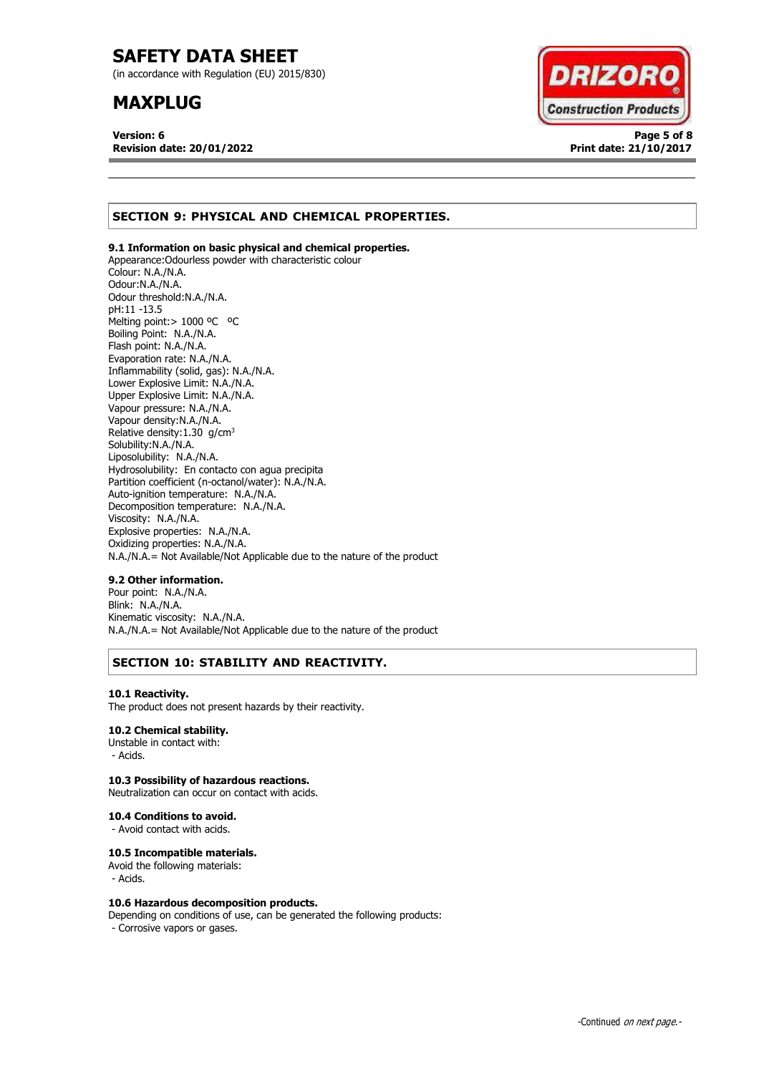(in accordance with Regulation (EU) 2015/830)

# **MAXPLUG**

**Version: 6 Page 5 of 8 Revision date: 20/01/2022 Print date: 21/10/2017**



# **SECTION 9: PHYSICAL AND CHEMICAL PROPERTIES.**

### **9.1 Information on basic physical and chemical properties.**

Appearance:Odourless powder with characteristic colour Colour: N.A./N.A. Odour:N.A./N.A. Odour threshold:N.A./N.A. pH:11 -13.5 Melting point: > 1000 °C °C Boiling Point: N.A./N.A. Flash point: N.A./N.A. Evaporation rate: N.A./N.A. Inflammability (solid, gas): N.A./N.A. Lower Explosive Limit: N.A./N.A. Upper Explosive Limit: N.A./N.A. Vapour pressure: N.A./N.A. Vapour density:N.A./N.A. Relative density:  $1.30$  g/cm<sup>3</sup> Solubility:N.A./N.A. Liposolubility: N.A./N.A. Hydrosolubility: En contacto con agua precipita Partition coefficient (n-octanol/water): N.A./N.A. Auto-ignition temperature: N.A./N.A. Decomposition temperature: N.A./N.A. Viscosity: N.A./N.A. Explosive properties: N.A./N.A. Oxidizing properties: N.A./N.A. N.A./N.A.= Not Available/Not Applicable due to the nature of the product

### **9.2 Other information.**

Pour point: N.A./N.A. Blink: N.A./N.A. Kinematic viscosity: N.A./N.A. N.A./N.A.= Not Available/Not Applicable due to the nature of the product

# **SECTION 10: STABILITY AND REACTIVITY.**

### **10.1 Reactivity.**

The product does not present hazards by their reactivity.

### **10.2 Chemical stability.**

Unstable in contact with: - Acids.

### **10.3 Possibility of hazardous reactions.**

Neutralization can occur on contact with acids.

### **10.4 Conditions to avoid.**

- Avoid contact with acids.

### **10.5 Incompatible materials.**

Avoid the following materials: - Acids.

### **10.6 Hazardous decomposition products.**

Depending on conditions of use, can be generated the following products: - Corrosive vapors or gases.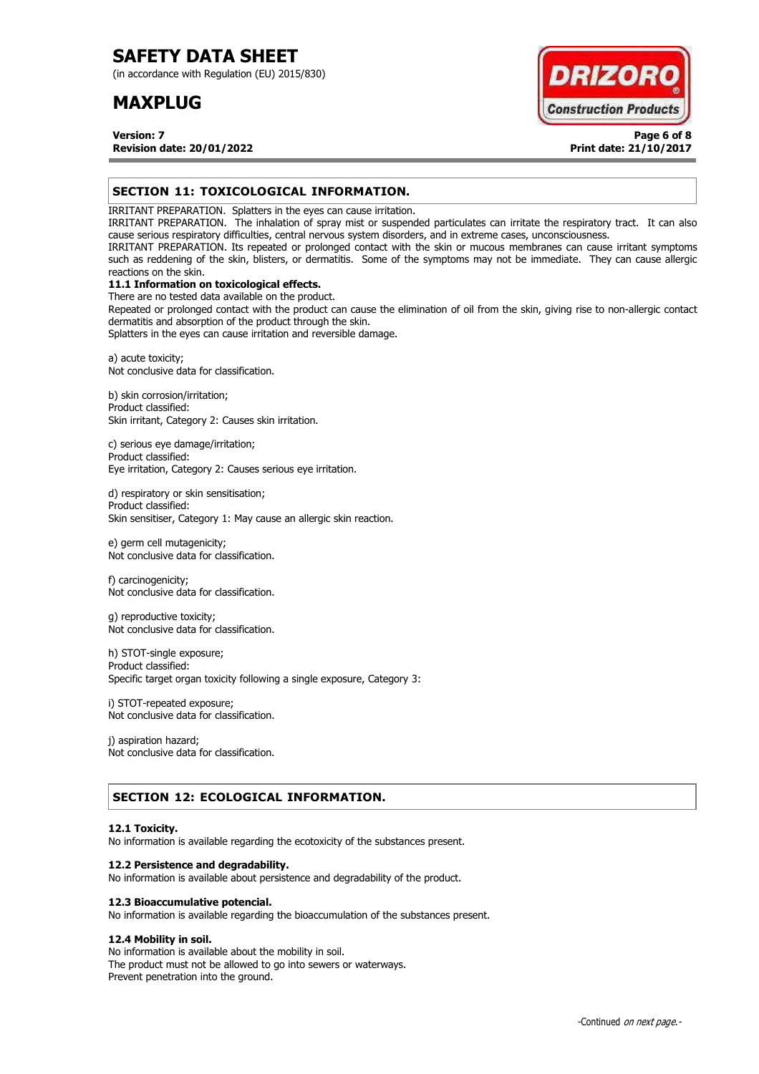(in accordance with Regulation (EU) 2015/830)

# **MAXPLUG**



**Version: 7 Page 6 of 8 Revision date: 20/01/2022 Print date: 21/10/2017**

## **SECTION 11: TOXICOLOGICAL INFORMATION.**

IRRITANT PREPARATION. Splatters in the eyes can cause irritation.

IRRITANT PREPARATION. The inhalation of spray mist or suspended particulates can irritate the respiratory tract. It can also cause serious respiratory difficulties, central nervous system disorders, and in extreme cases, unconsciousness.

IRRITANT PREPARATION. Its repeated or prolonged contact with the skin or mucous membranes can cause irritant symptoms such as reddening of the skin, blisters, or dermatitis. Some of the symptoms may not be immediate. They can cause allergic reactions on the skin.

# **11.1 Information on toxicological effects.**

There are no tested data available on the product. Repeated or prolonged contact with the product can cause the elimination of oil from the skin, giving rise to non-allergic contact dermatitis and absorption of the product through the skin.

Splatters in the eyes can cause irritation and reversible damage.

a) acute toxicity; Not conclusive data for classification.

b) skin corrosion/irritation; Product classified: Skin irritant, Category 2: Causes skin irritation.

c) serious eye damage/irritation; Product classified: Eye irritation, Category 2: Causes serious eye irritation.

d) respiratory or skin sensitisation; Product classified: Skin sensitiser, Category 1: May cause an allergic skin reaction.

e) germ cell mutagenicity; Not conclusive data for classification.

f) carcinogenicity; Not conclusive data for classification.

g) reproductive toxicity; Not conclusive data for classification.

h) STOT-single exposure; Product classified: Specific target organ toxicity following a single exposure, Category 3:

i) STOT-repeated exposure; Not conclusive data for classification.

j) aspiration hazard; Not conclusive data for classification.

# **SECTION 12: ECOLOGICAL INFORMATION.**

### **12.1 Toxicity.**

No information is available regarding the ecotoxicity of the substances present.

### **12.2 Persistence and degradability.**

No information is available about persistence and degradability of the product.

### **12.3 Bioaccumulative potencial.**

No information is available regarding the bioaccumulation of the substances present.

### **12.4 Mobility in soil.**

No information is available about the mobility in soil. The product must not be allowed to go into sewers or waterways. Prevent penetration into the ground.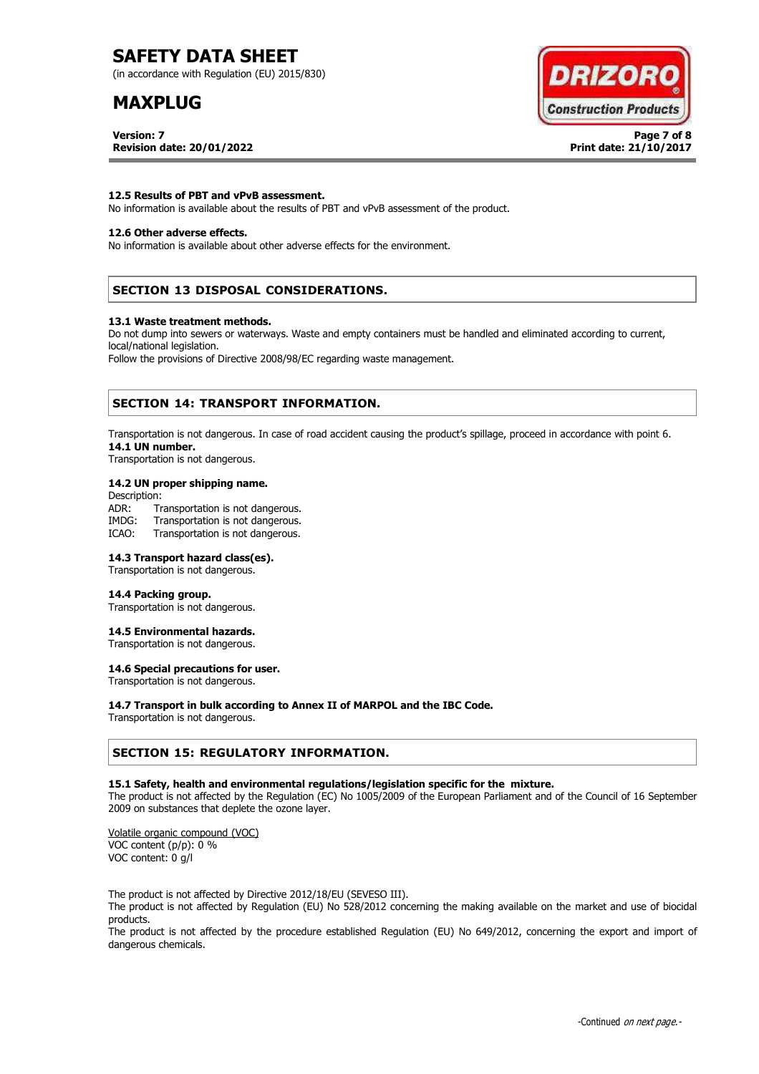(in accordance with Regulation (EU) 2015/830)

# **MAXPLUG**

**Version: 7 Page 7 of 8 Revision date: 20/01/2022 Print date: 21/10/2017**



### **12.5 Results of PBT and vPvB assessment.**

No information is available about the results of PBT and vPvB assessment of the product.

### **12.6 Other adverse effects.**

No information is available about other adverse effects for the environment.

# **SECTION 13 DISPOSAL CONSIDERATIONS.**

#### **13.1 Waste treatment methods.**

Do not dump into sewers or waterways. Waste and empty containers must be handled and eliminated according to current, local/national legislation.

Follow the provisions of Directive 2008/98/EC regarding waste management.

### **SECTION 14: TRANSPORT INFORMATION.**

Transportation is not dangerous. In case of road accident causing the product's spillage, proceed in accordance with point 6. **14.1 UN number.**

Transportation is not dangerous.

### **14.2 UN proper shipping name.**

Description: ADR: Transportation is not dangerous.<br>IMDG: Transportation is not dangerous. Transportation is not dangerous. ICAO: Transportation is not dangerous.

### **14.3 Transport hazard class(es).**

Transportation is not dangerous.

### **14.4 Packing group.**

Transportation is not dangerous.

### **14.5 Environmental hazards.**

Transportation is not dangerous.

# **14.6 Special precautions for user.**

Transportation is not dangerous.

### **14.7 Transport in bulk according to Annex II of MARPOL and the IBC Code.**

Transportation is not dangerous.

### **SECTION 15: REGULATORY INFORMATION.**

### **15.1 Safety, health and environmental regulations/legislation specific for the mixture.**

The product is not affected by the Regulation (EC) No 1005/2009 of the European Parliament and of the Council of 16 September 2009 on substances that deplete the ozone layer.

Volatile organic compound (VOC) VOC content (p/p): 0 % VOC content: 0 g/l

The product is not affected by Directive 2012/18/EU (SEVESO III).

The product is not affected by Regulation (EU) No 528/2012 concerning the making available on the market and use of biocidal products.

The product is not affected by the procedure established Regulation (EU) No 649/2012, concerning the export and import of dangerous chemicals.